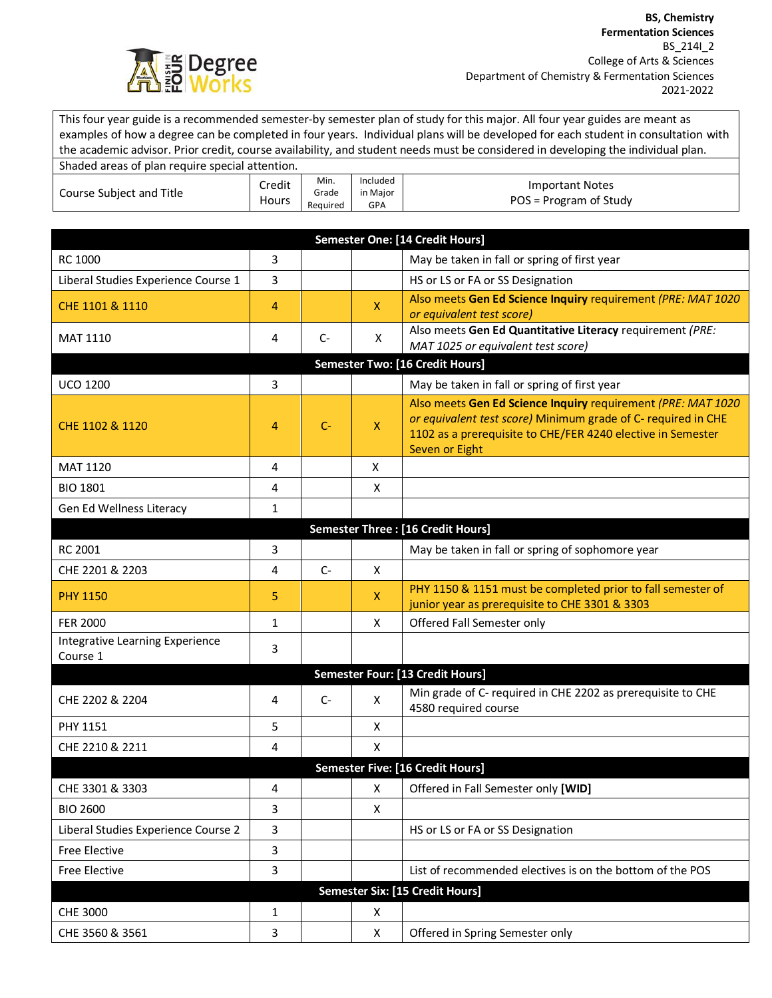

This four year guide is a recommended semester-by semester plan of study for this major. All four year guides are meant as examples of how a degree can be completed in four years. Individual plans will be developed for each student in consultation with the academic advisor. Prior credit, course availability, and student needs must be considered in developing the individual plan.

| Shaded areas of plan require special attention. |                        |                           |                                    |                                                  |
|-------------------------------------------------|------------------------|---------------------------|------------------------------------|--------------------------------------------------|
| Course Subject and Title                        | Credit<br><b>Hours</b> | Min.<br>Grade<br>Reauired | Included<br>in Maior<br><b>GPA</b> | <b>Important Notes</b><br>POS = Program of Study |

| Semester One: [14 Credit Hours]             |                |       |              |                                                                                                                                                                                                                |  |  |
|---------------------------------------------|----------------|-------|--------------|----------------------------------------------------------------------------------------------------------------------------------------------------------------------------------------------------------------|--|--|
| <b>RC 1000</b>                              | 3              |       |              | May be taken in fall or spring of first year                                                                                                                                                                   |  |  |
| Liberal Studies Experience Course 1         | 3              |       |              | HS or LS or FA or SS Designation                                                                                                                                                                               |  |  |
| CHE 1101 & 1110                             | 4              |       | $\mathsf{X}$ | Also meets Gen Ed Science Inquiry requirement (PRE: MAT 1020<br>or equivalent test score)                                                                                                                      |  |  |
| MAT 1110                                    | 4              | $C -$ | X            | Also meets Gen Ed Quantitative Literacy requirement (PRE:<br>MAT 1025 or equivalent test score)                                                                                                                |  |  |
| <b>Semester Two: [16 Credit Hours]</b>      |                |       |              |                                                                                                                                                                                                                |  |  |
| <b>UCO 1200</b>                             | 3              |       |              | May be taken in fall or spring of first year                                                                                                                                                                   |  |  |
| CHE 1102 & 1120                             | 4              | $C-$  | X            | Also meets Gen Ed Science Inquiry requirement (PRE: MAT 1020<br>or equivalent test score) Minimum grade of C- required in CHE<br>1102 as a prerequisite to CHE/FER 4240 elective in Semester<br>Seven or Eight |  |  |
| <b>MAT 1120</b>                             | 4              |       | X            |                                                                                                                                                                                                                |  |  |
| <b>BIO 1801</b>                             | 4              |       | X            |                                                                                                                                                                                                                |  |  |
| Gen Ed Wellness Literacy                    | 1              |       |              |                                                                                                                                                                                                                |  |  |
|                                             |                |       |              | Semester Three : [16 Credit Hours]                                                                                                                                                                             |  |  |
| <b>RC 2001</b>                              | 3              |       |              | May be taken in fall or spring of sophomore year                                                                                                                                                               |  |  |
| CHE 2201 & 2203                             | 4              | $C-$  | X            |                                                                                                                                                                                                                |  |  |
| <b>PHY 1150</b>                             | 5              |       | X            | PHY 1150 & 1151 must be completed prior to fall semester of<br>junior year as prerequisite to CHE 3301 & 3303                                                                                                  |  |  |
| <b>FER 2000</b>                             | $\mathbf{1}$   |       | X            | Offered Fall Semester only                                                                                                                                                                                     |  |  |
| Integrative Learning Experience<br>Course 1 | 3              |       |              |                                                                                                                                                                                                                |  |  |
|                                             |                |       |              | Semester Four: [13 Credit Hours]                                                                                                                                                                               |  |  |
| CHE 2202 & 2204                             | 4              | $C-$  | X            | Min grade of C- required in CHE 2202 as prerequisite to CHE<br>4580 required course                                                                                                                            |  |  |
| <b>PHY 1151</b>                             | 5              |       | X            |                                                                                                                                                                                                                |  |  |
| CHE 2210 & 2211                             | 4              |       | X            |                                                                                                                                                                                                                |  |  |
| <b>Semester Five: [16 Credit Hours]</b>     |                |       |              |                                                                                                                                                                                                                |  |  |
| CHE 3301 & 3303                             | 4              |       | X            | Offered in Fall Semester only [WID]                                                                                                                                                                            |  |  |
| <b>BIO 2600</b>                             | 3              |       | X            |                                                                                                                                                                                                                |  |  |
| Liberal Studies Experience Course 2         | 3              |       |              | HS or LS or FA or SS Designation                                                                                                                                                                               |  |  |
| Free Elective                               | $\overline{3}$ |       |              |                                                                                                                                                                                                                |  |  |
| Free Elective                               | 3              |       |              | List of recommended electives is on the bottom of the POS                                                                                                                                                      |  |  |
| Semester Six: [15 Credit Hours]             |                |       |              |                                                                                                                                                                                                                |  |  |
| <b>CHE 3000</b>                             | $\mathbf{1}$   |       | X            |                                                                                                                                                                                                                |  |  |
| CHE 3560 & 3561                             | 3              |       | X            | Offered in Spring Semester only                                                                                                                                                                                |  |  |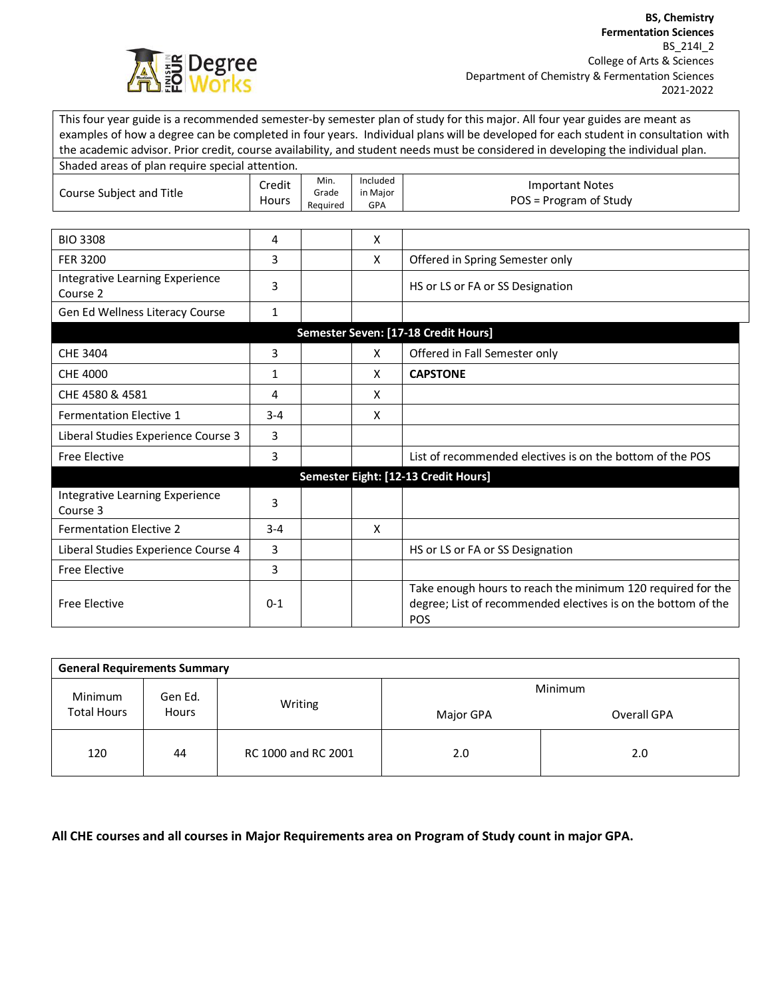

This four year guide is a recommended semester-by semester plan of study for this major. All four year guides are meant as examples of how a degree can be completed in four years. Individual plans will be developed for each student in consultation with the academic advisor. Prior credit, course availability, and student needs must be considered in developing the individual plan.

| Shaded areas of plan require special attention. |                        |                           |                             |                                                                                                                                     |
|-------------------------------------------------|------------------------|---------------------------|-----------------------------|-------------------------------------------------------------------------------------------------------------------------------------|
| Course Subject and Title                        | Credit<br><b>Hours</b> | Min.<br>Grade<br>Required | Included<br>in Major<br>GPA | <b>Important Notes</b><br>POS = Program of Study                                                                                    |
|                                                 |                        |                           |                             |                                                                                                                                     |
| <b>BIO 3308</b>                                 | 4                      |                           | X                           |                                                                                                                                     |
| <b>FER 3200</b>                                 | 3                      |                           | X                           | Offered in Spring Semester only                                                                                                     |
| Integrative Learning Experience<br>Course 2     | 3                      |                           |                             | HS or LS or FA or SS Designation                                                                                                    |
| Gen Ed Wellness Literacy Course                 | $\mathbf 1$            |                           |                             |                                                                                                                                     |
|                                                 |                        |                           |                             | Semester Seven: [17-18 Credit Hours]                                                                                                |
| CHE 3404                                        | 3                      |                           | X                           | Offered in Fall Semester only                                                                                                       |
| <b>CHE 4000</b>                                 | 1                      |                           | X                           | <b>CAPSTONE</b>                                                                                                                     |
| CHE 4580 & 4581                                 | 4                      |                           | X                           |                                                                                                                                     |
| <b>Fermentation Elective 1</b>                  | $3 - 4$                |                           | X                           |                                                                                                                                     |
| Liberal Studies Experience Course 3             | 3                      |                           |                             |                                                                                                                                     |
| <b>Free Elective</b>                            | 3                      |                           |                             | List of recommended electives is on the bottom of the POS                                                                           |
|                                                 |                        |                           |                             | Semester Eight: [12-13 Credit Hours]                                                                                                |
| Integrative Learning Experience<br>Course 3     | 3                      |                           |                             |                                                                                                                                     |
| <b>Fermentation Elective 2</b>                  | $3 - 4$                |                           | X                           |                                                                                                                                     |
| Liberal Studies Experience Course 4             | 3                      |                           |                             | HS or LS or FA or SS Designation                                                                                                    |
| <b>Free Elective</b>                            | 3                      |                           |                             |                                                                                                                                     |
| <b>Free Elective</b>                            | $0 - 1$                |                           |                             | Take enough hours to reach the minimum 120 required for the<br>degree; List of recommended electives is on the bottom of the<br>POS |

| <b>General Requirements Summary</b>                      |         |                     |             |     |  |  |  |
|----------------------------------------------------------|---------|---------------------|-------------|-----|--|--|--|
| Minimum<br>Gen Ed.<br><b>Total Hours</b><br><b>Hours</b> |         |                     | Minimum     |     |  |  |  |
|                                                          | Writing | Major GPA           | Overall GPA |     |  |  |  |
| 120                                                      | 44      | RC 1000 and RC 2001 | 2.0         | 2.0 |  |  |  |

**All CHE courses and all courses in Major Requirements area on Program of Study count in major GPA.**